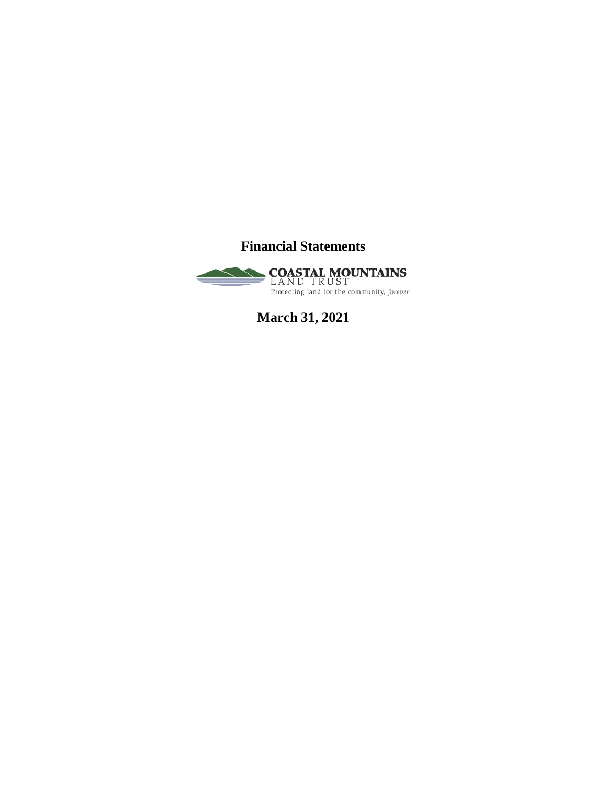### **Financial Statements**



**March 31, 2021**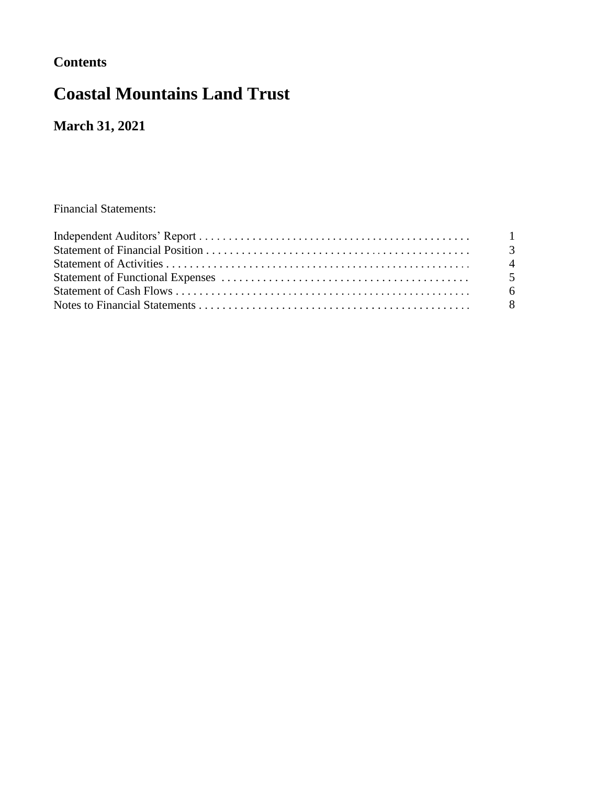## **Contents**

# **Coastal Mountains Land Trust**

**March 31, 2021**

Financial Statements:

| $\overline{4}$ |
|----------------|
| - 5            |
| - 6            |
|                |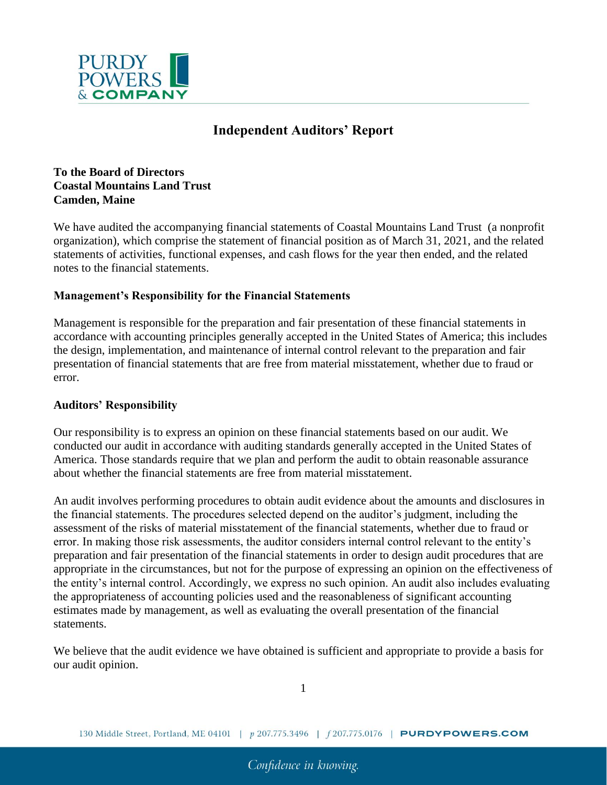

### **Independent Auditors' Report**

#### **To the Board of Directors Coastal Mountains Land Trust Camden, Maine**

We have audited the accompanying financial statements of Coastal Mountains Land Trust (a nonprofit organization), which comprise the statement of financial position as of March 31, 2021, and the related statements of activities, functional expenses, and cash flows for the year then ended, and the related notes to the financial statements.

#### **Management's Responsibility for the Financial Statements**

Management is responsible for the preparation and fair presentation of these financial statements in accordance with accounting principles generally accepted in the United States of America; this includes the design, implementation, and maintenance of internal control relevant to the preparation and fair presentation of financial statements that are free from material misstatement, whether due to fraud or error.

#### **Auditors' Responsibility**

Our responsibility is to express an opinion on these financial statements based on our audit. We conducted our audit in accordance with auditing standards generally accepted in the United States of America. Those standards require that we plan and perform the audit to obtain reasonable assurance about whether the financial statements are free from material misstatement.

An audit involves performing procedures to obtain audit evidence about the amounts and disclosures in the financial statements. The procedures selected depend on the auditor's judgment, including the assessment of the risks of material misstatement of the financial statements, whether due to fraud or error. In making those risk assessments, the auditor considers internal control relevant to the entity's preparation and fair presentation of the financial statements in order to design audit procedures that are appropriate in the circumstances, but not for the purpose of expressing an opinion on the effectiveness of the entity's internal control. Accordingly, we express no such opinion. An audit also includes evaluating the appropriateness of accounting policies used and the reasonableness of significant accounting estimates made by management, as well as evaluating the overall presentation of the financial statements.

We believe that the audit evidence we have obtained is sufficient and appropriate to provide a basis for our audit opinion.

1

130 Middle Street, Portland, ME 04101 | p 207.775.3496 | f 207.775.0176 | PURDYPOWERS.COM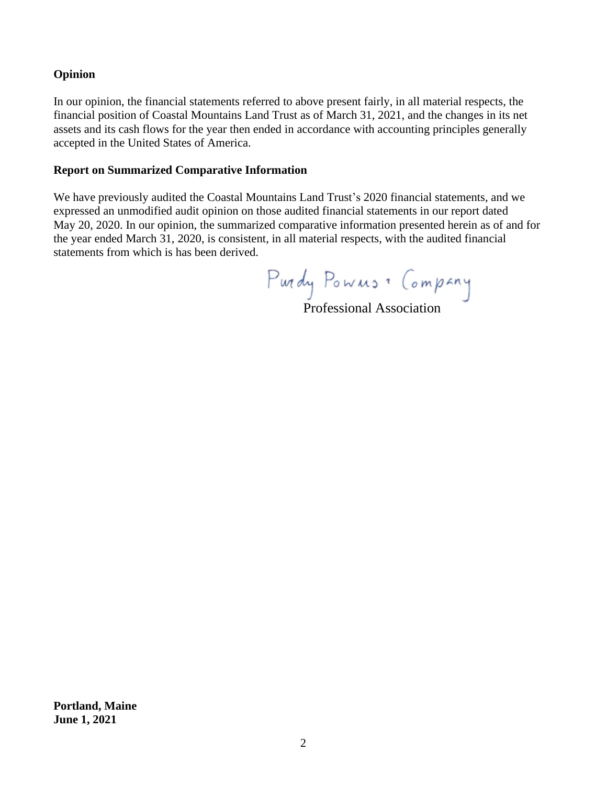#### **Opinion**

In our opinion, the financial statements referred to above present fairly, in all material respects, the financial position of Coastal Mountains Land Trust as of March 31, 2021, and the changes in its net assets and its cash flows for the year then ended in accordance with accounting principles generally accepted in the United States of America.

#### **Report on Summarized Comparative Information**

We have previously audited the Coastal Mountains Land Trust's 2020 financial statements, and we expressed an unmodified audit opinion on those audited financial statements in our report dated May 20, 2020. In our opinion, the summarized comparative information presented herein as of and for the year ended March 31, 2020, is consistent, in all material respects, with the audited financial statements from which is has been derived.

Purdy Powns<sup>, Company</sup><br>Professional Association

**Portland, Maine June 1, 2021**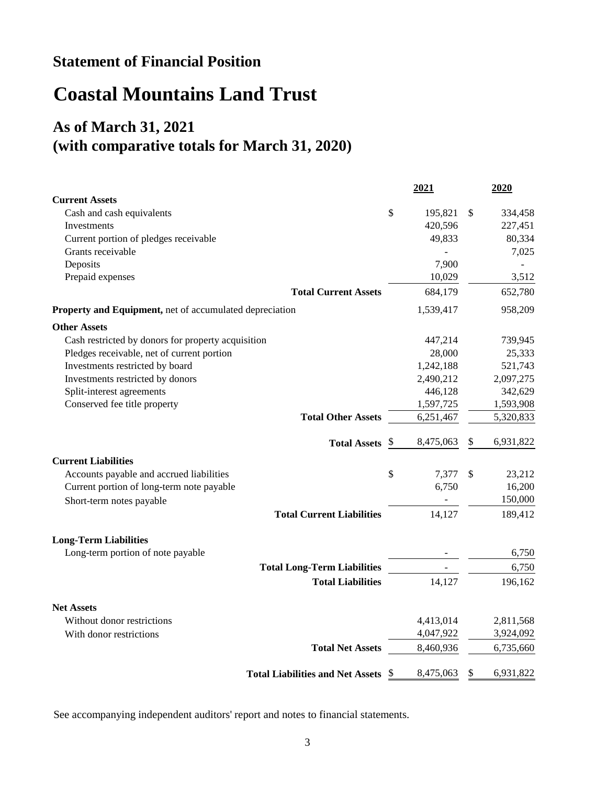### **Statement of Financial Position**

# **Coastal Mountains Land Trust**

## **As of March 31, 2021 (with comparative totals for March 31, 2020)**

| <b>Current Assets</b>                                   |           |                 |
|---------------------------------------------------------|-----------|-----------------|
|                                                         |           |                 |
| \$<br>Cash and cash equivalents                         | 195,821   | \$<br>334,458   |
| Investments                                             | 420,596   | 227,451         |
| Current portion of pledges receivable                   | 49,833    | 80,334          |
| Grants receivable                                       |           | 7,025           |
| Deposits                                                | 7,900     |                 |
| Prepaid expenses                                        | 10,029    | 3,512           |
| <b>Total Current Assets</b>                             | 684,179   | 652,780         |
| Property and Equipment, net of accumulated depreciation | 1,539,417 | 958,209         |
| <b>Other Assets</b>                                     |           |                 |
| Cash restricted by donors for property acquisition      | 447,214   | 739,945         |
| Pledges receivable, net of current portion              | 28,000    | 25,333          |
| Investments restricted by board                         | 1,242,188 | 521,743         |
| Investments restricted by donors                        | 2,490,212 | 2,097,275       |
| Split-interest agreements                               | 446,128   | 342,629         |
| Conserved fee title property                            | 1,597,725 | 1,593,908       |
| <b>Total Other Assets</b>                               | 6,251,467 | 5,320,833       |
| <b>Total Assets</b><br>- \$                             | 8,475,063 | \$<br>6,931,822 |
| <b>Current Liabilities</b>                              |           |                 |
| \$<br>Accounts payable and accrued liabilities          | 7,377     | \$<br>23,212    |
| Current portion of long-term note payable               | 6,750     | 16,200          |
| Short-term notes payable                                |           | 150,000         |
| <b>Total Current Liabilities</b>                        | 14,127    | 189,412         |
| <b>Long-Term Liabilities</b>                            |           |                 |
| Long-term portion of note payable                       |           | 6,750           |
| <b>Total Long-Term Liabilities</b>                      |           | 6,750           |
| <b>Total Liabilities</b>                                | 14,127    | 196,162         |
| <b>Net Assets</b>                                       |           |                 |
| Without donor restrictions                              | 4,413,014 | 2,811,568       |
| With donor restrictions                                 | 4,047,922 | 3,924,092       |
| <b>Total Net Assets</b>                                 | 8,460,936 | 6,735,660       |
| Total Liabilities and Net Assets \$                     | 8,475,063 | \$<br>6,931,822 |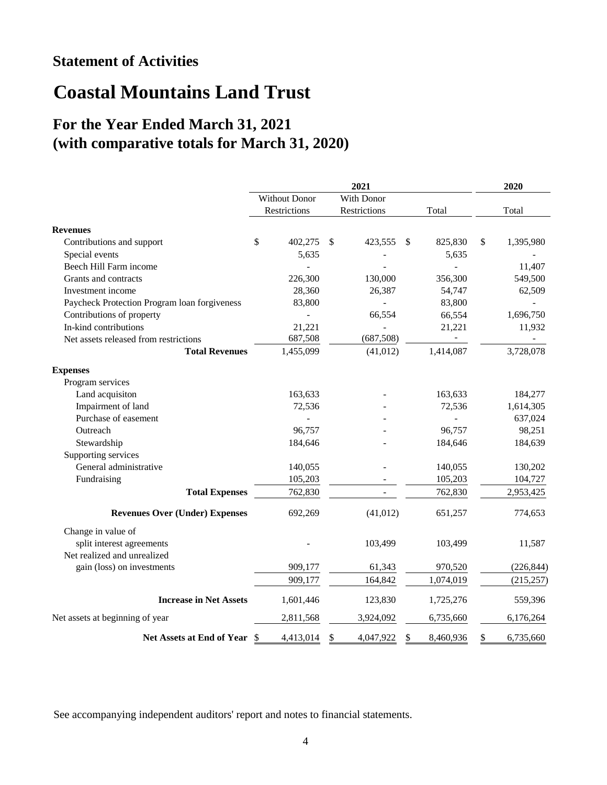### **Statement of Activities**

# **Coastal Mountains Land Trust**

## **For the Year Ended March 31, 2021 (with comparative totals for March 31, 2020)**

|                                              |                      | 2021                     |                          | 2020            |
|----------------------------------------------|----------------------|--------------------------|--------------------------|-----------------|
|                                              | <b>Without Donor</b> | With Donor               |                          |                 |
|                                              | Restrictions         | Restrictions             | Total                    | Total           |
| <b>Revenues</b>                              |                      |                          |                          |                 |
| Contributions and support                    | \$<br>402,275        | $\mathcal{S}$<br>423,555 | <sup>\$</sup><br>825,830 | 1,395,980<br>\$ |
| Special events                               | 5,635                |                          | 5,635                    |                 |
| Beech Hill Farm income                       |                      |                          |                          | 11,407          |
| Grants and contracts                         | 226,300              | 130,000                  | 356,300                  | 549,500         |
| Investment income                            | 28,360               | 26,387                   | 54,747                   | 62,509          |
| Paycheck Protection Program loan forgiveness | 83,800               |                          | 83,800                   |                 |
| Contributions of property                    |                      | 66,554                   | 66,554                   | 1,696,750       |
| In-kind contributions                        | 21,221               |                          | 21,221                   | 11,932          |
| Net assets released from restrictions        | 687,508              | (687, 508)               |                          |                 |
| <b>Total Revenues</b>                        | 1,455,099            | (41, 012)                | 1,414,087                | 3,728,078       |
| <b>Expenses</b>                              |                      |                          |                          |                 |
| Program services                             |                      |                          |                          |                 |
| Land acquisiton                              | 163,633              |                          | 163,633                  | 184,277         |
| Impairment of land                           | 72,536               |                          | 72,536                   | 1,614,305       |
| Purchase of easement                         |                      |                          |                          | 637,024         |
| Outreach                                     | 96,757               |                          | 96,757                   | 98,251          |
| Stewardship                                  | 184,646              |                          | 184,646                  | 184,639         |
| Supporting services                          |                      |                          |                          |                 |
| General administrative                       | 140,055              |                          | 140,055                  | 130,202         |
| Fundraising                                  | 105,203              |                          | 105,203                  | 104,727         |
| <b>Total Expenses</b>                        | 762,830              |                          | 762,830                  | 2,953,425       |
| <b>Revenues Over (Under) Expenses</b>        | 692,269              | (41, 012)                | 651,257                  | 774,653         |
| Change in value of                           |                      |                          |                          |                 |
| split interest agreements                    |                      | 103,499                  | 103,499                  | 11,587          |
| Net realized and unrealized                  |                      |                          |                          |                 |
| gain (loss) on investments                   | 909,177              | 61,343                   | 970,520                  | (226, 844)      |
|                                              | 909,177              | 164,842                  | 1,074,019                | (215, 257)      |
| <b>Increase in Net Assets</b>                | 1,601,446            | 123,830                  | 1,725,276                | 559,396         |
| Net assets at beginning of year              | 2,811,568            | 3,924,092                | 6,735,660                | 6,176,264       |
| Net Assets at End of Year \$                 | 4,413,014            | \$<br>4,047,922          | \$<br>8,460,936          | \$<br>6,735,660 |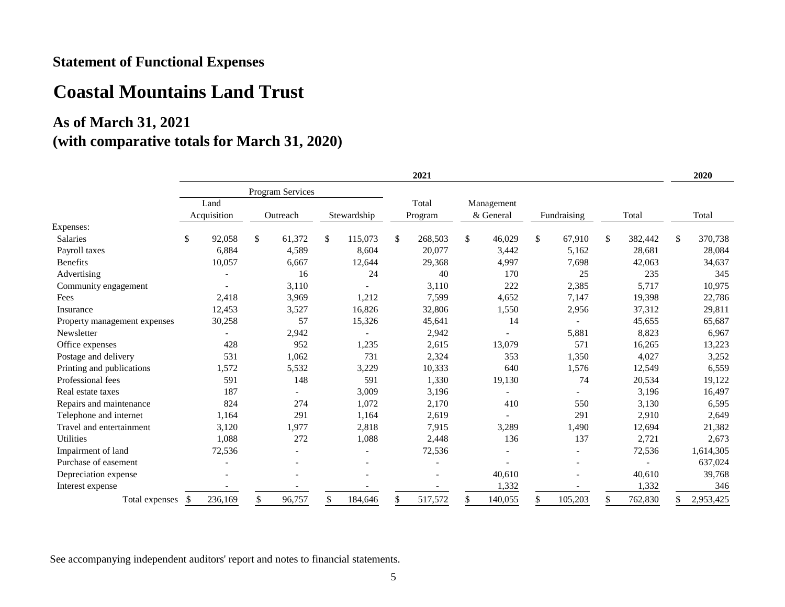### **Statement of Functional Expenses**

# **Coastal Mountains Land Trust**

## **As of March 31, 2021 (with comparative totals for March 31, 2020)**

|                              |                     |                         |                          | 2021             |                         |               |               |              | 2020      |
|------------------------------|---------------------|-------------------------|--------------------------|------------------|-------------------------|---------------|---------------|--------------|-----------|
|                              |                     | <b>Program Services</b> |                          |                  |                         |               |               |              |           |
|                              | Land<br>Acquisition | Outreach                | Stewardship              | Total<br>Program | Management<br>& General | Fundraising   | Total         |              | Total     |
| Expenses:                    |                     |                         |                          |                  |                         |               |               |              |           |
| <b>Salaries</b>              | \$<br>92,058        | \$<br>61.372            | \$<br>115,073            | \$<br>268,503    | \$<br>46,029            | \$<br>67,910  | \$<br>382,442 | $\mathbb{S}$ | 370,738   |
| Payroll taxes                | 6,884               | 4,589                   | 8,604                    | 20,077           | 3,442                   | 5,162         | 28,681        |              | 28,084    |
| <b>Benefits</b>              | 10,057              | 6,667                   | 12,644                   | 29,368           | 4,997                   | 7,698         | 42,063        |              | 34,637    |
| Advertising                  |                     | 16                      | 24                       | 40               | 170                     | 25            | 235           |              | 345       |
| Community engagement         |                     | 3,110                   |                          | 3,110            | 222                     | 2,385         | 5,717         |              | 10,975    |
| Fees                         | 2,418               | 3,969                   | 1,212                    | 7,599            | 4,652                   | 7,147         | 19,398        |              | 22,786    |
| Insurance                    | 12,453              | 3,527                   | 16,826                   | 32,806           | 1,550                   | 2,956         | 37,312        |              | 29,811    |
| Property management expenses | 30,258              | 57                      | 15,326                   | 45,641           | 14                      |               | 45,655        |              | 65,687    |
| Newsletter                   |                     | 2,942                   |                          | 2,942            |                         | 5,881         | 8,823         |              | 6,967     |
| Office expenses              | 428                 | 952                     | 1,235                    | 2,615            | 13.079                  | 571           | 16,265        |              | 13,223    |
| Postage and delivery         | 531                 | 1,062                   | 731                      | 2,324            | 353                     | 1,350         | 4,027         |              | 3,252     |
| Printing and publications    | 1,572               | 5,532                   | 3,229                    | 10,333           | 640                     | 1,576         | 12,549        |              | 6,559     |
| Professional fees            | 591                 | 148                     | 591                      | 1,330            | 19,130                  | 74            | 20,534        |              | 19,122    |
| Real estate taxes            | 187                 |                         | 3,009                    | 3,196            |                         |               | 3,196         |              | 16,497    |
| Repairs and maintenance      | 824                 | 274                     | 1,072                    | 2,170            | 410                     | 550           | 3,130         |              | 6,595     |
| Telephone and internet       | 1,164               | 291                     | 1,164                    | 2,619            |                         | 291           | 2,910         |              | 2,649     |
| Travel and entertainment     | 3,120               | 1.977                   | 2,818                    | 7,915            | 3,289                   | 1,490         | 12,694        |              | 21,382    |
| <b>Utilities</b>             | 1,088               | 272                     | 1,088                    | 2,448            | 136                     | 137           | 2,721         |              | 2,673     |
| Impairment of land           | 72,536              |                         | $\overline{\phantom{a}}$ | 72,536           |                         |               | 72,536        |              | 1,614,305 |
| Purchase of easement         |                     |                         |                          |                  |                         |               |               |              | 637,024   |
| Depreciation expense         |                     |                         |                          |                  | 40,610                  |               | 40,610        |              | 39,768    |
| Interest expense             |                     |                         |                          |                  | 1,332                   |               | 1,332         |              | 346       |
| Total expenses               | 236,169             | \$<br>96,757            | 184,646                  | 517,572          | 140,055                 | \$<br>105,203 | \$<br>762,830 |              | 2,953,425 |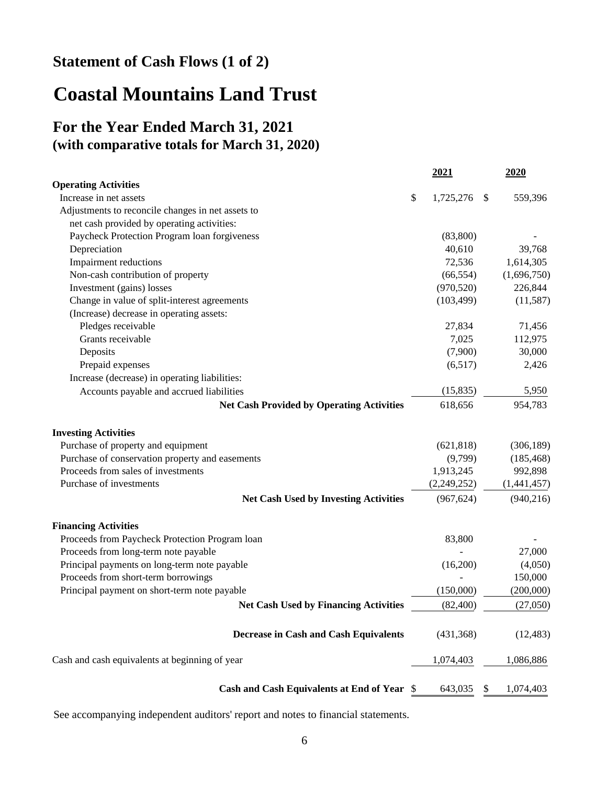## **Statement of Cash Flows (1 of 2)**

# **Coastal Mountains Land Trust**

### **For the Year Ended March 31, 2021 (with comparative totals for March 31, 2020)**

|                                                   | 2021            | 2020          |
|---------------------------------------------------|-----------------|---------------|
| <b>Operating Activities</b>                       |                 |               |
| Increase in net assets                            | \$<br>1,725,276 | \$<br>559,396 |
| Adjustments to reconcile changes in net assets to |                 |               |
| net cash provided by operating activities:        |                 |               |
| Paycheck Protection Program loan forgiveness      | (83,800)        |               |
| Depreciation                                      | 40,610          | 39,768        |
| Impairment reductions                             | 72,536          | 1,614,305     |
| Non-cash contribution of property                 | (66, 554)       | (1,696,750)   |
| Investment (gains) losses                         | (970, 520)      | 226,844       |
| Change in value of split-interest agreements      | (103, 499)      | (11,587)      |
| (Increase) decrease in operating assets:          |                 |               |
| Pledges receivable                                | 27,834          | 71,456        |
| Grants receivable                                 | 7,025           | 112,975       |
| Deposits                                          | (7,900)         | 30,000        |
| Prepaid expenses                                  | (6,517)         | 2,426         |
| Increase (decrease) in operating liabilities:     |                 |               |
| Accounts payable and accrued liabilities          | (15, 835)       | 5,950         |
| <b>Net Cash Provided by Operating Activities</b>  | 618,656         | 954,783       |
| <b>Investing Activities</b>                       |                 |               |
| Purchase of property and equipment                | (621, 818)      | (306, 189)    |
| Purchase of conservation property and easements   | (9,799)         | (185, 468)    |
| Proceeds from sales of investments                | 1,913,245       | 992,898       |
| Purchase of investments                           | (2,249,252)     | (1,441,457)   |
| <b>Net Cash Used by Investing Activities</b>      | (967, 624)      | (940, 216)    |
|                                                   |                 |               |
| <b>Financing Activities</b>                       |                 |               |
| Proceeds from Paycheck Protection Program loan    | 83,800          |               |
| Proceeds from long-term note payable              |                 | 27,000        |
| Principal payments on long-term note payable      | (16,200)        | (4,050)       |
| Proceeds from short-term borrowings               |                 | 150,000       |
| Principal payment on short-term note payable      | (150,000)       | (200,000)     |
| <b>Net Cash Used by Financing Activities</b>      | (82, 400)       | (27,050)      |
| <b>Decrease in Cash and Cash Equivalents</b>      | (431, 368)      | (12, 483)     |
| Cash and cash equivalents at beginning of year    | 1,074,403       | 1,086,886     |
| Cash and Cash Equivalents at End of Year \$       | 643,035         | 1,074,403     |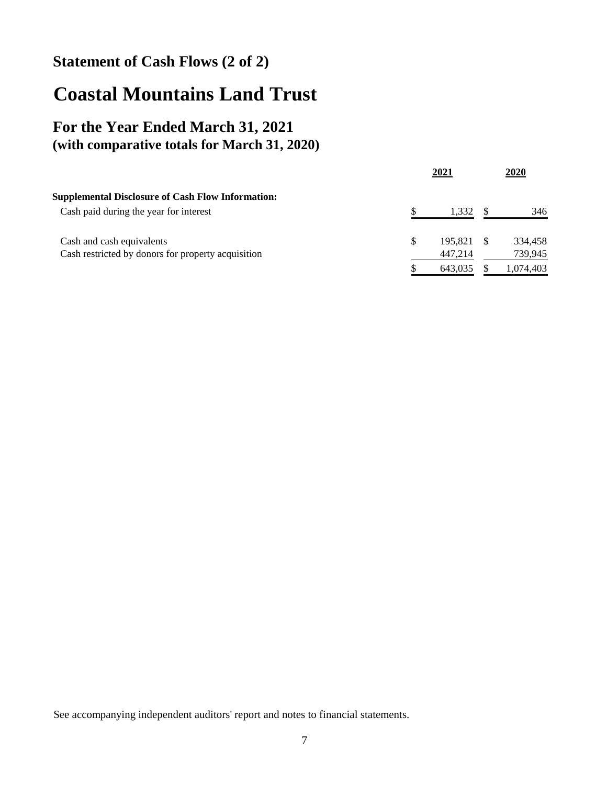## **Statement of Cash Flows (2 of 2)**

# **Coastal Mountains Land Trust**

## **For the Year Ended March 31, 2021 (with comparative totals for March 31, 2020)**

|                                                          | 2021          | 2020      |
|----------------------------------------------------------|---------------|-----------|
| <b>Supplemental Disclosure of Cash Flow Information:</b> |               |           |
| Cash paid during the year for interest                   | 1,332         | 346       |
| Cash and cash equivalents                                | \$<br>195.821 | 334,458   |
| Cash restricted by donors for property acquisition       | 447.214       | 739.945   |
|                                                          | 643.035       | 1,074,403 |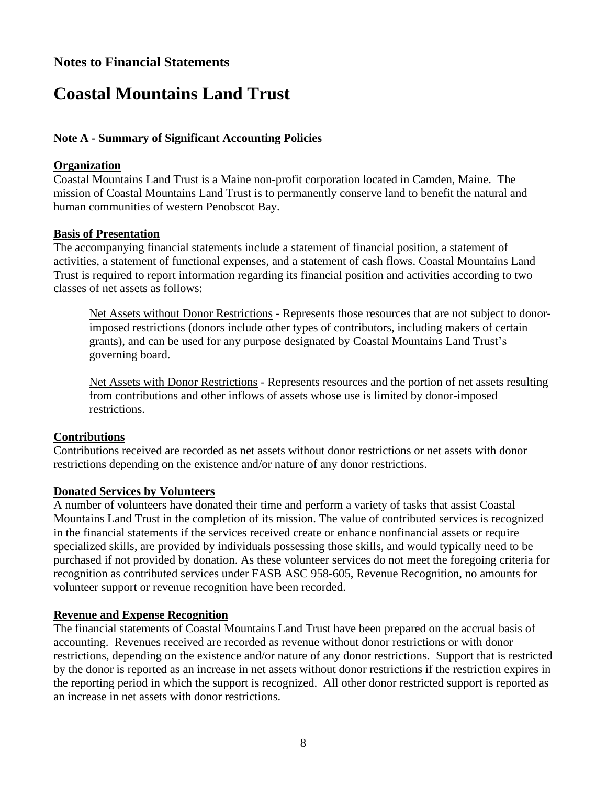### **Notes to Financial Statements**

## **Coastal Mountains Land Trust**

#### **Note A - Summary of Significant Accounting Policies**

#### **Organization**

Coastal Mountains Land Trust is a Maine non-profit corporation located in Camden, Maine. The mission of Coastal Mountains Land Trust is to permanently conserve land to benefit the natural and human communities of western Penobscot Bay.

#### **Basis of Presentation**

The accompanying financial statements include a statement of financial position, a statement of activities, a statement of functional expenses, and a statement of cash flows. Coastal Mountains Land Trust is required to report information regarding its financial position and activities according to two classes of net assets as follows:

Net Assets without Donor Restrictions - Represents those resources that are not subject to donorimposed restrictions (donors include other types of contributors, including makers of certain grants), and can be used for any purpose designated by Coastal Mountains Land Trust's governing board.

Net Assets with Donor Restrictions - Represents resources and the portion of net assets resulting from contributions and other inflows of assets whose use is limited by donor-imposed restrictions.

#### **Contributions**

Contributions received are recorded as net assets without donor restrictions or net assets with donor restrictions depending on the existence and/or nature of any donor restrictions.

#### **Donated Services by Volunteers**

A number of volunteers have donated their time and perform a variety of tasks that assist Coastal Mountains Land Trust in the completion of its mission. The value of contributed services is recognized in the financial statements if the services received create or enhance nonfinancial assets or require specialized skills, are provided by individuals possessing those skills, and would typically need to be purchased if not provided by donation. As these volunteer services do not meet the foregoing criteria for recognition as contributed services under FASB ASC 958-605, Revenue Recognition, no amounts for volunteer support or revenue recognition have been recorded.

#### **Revenue and Expense Recognition**

The financial statements of Coastal Mountains Land Trust have been prepared on the accrual basis of accounting. Revenues received are recorded as revenue without donor restrictions or with donor restrictions, depending on the existence and/or nature of any donor restrictions. Support that is restricted by the donor is reported as an increase in net assets without donor restrictions if the restriction expires in the reporting period in which the support is recognized. All other donor restricted support is reported as an increase in net assets with donor restrictions.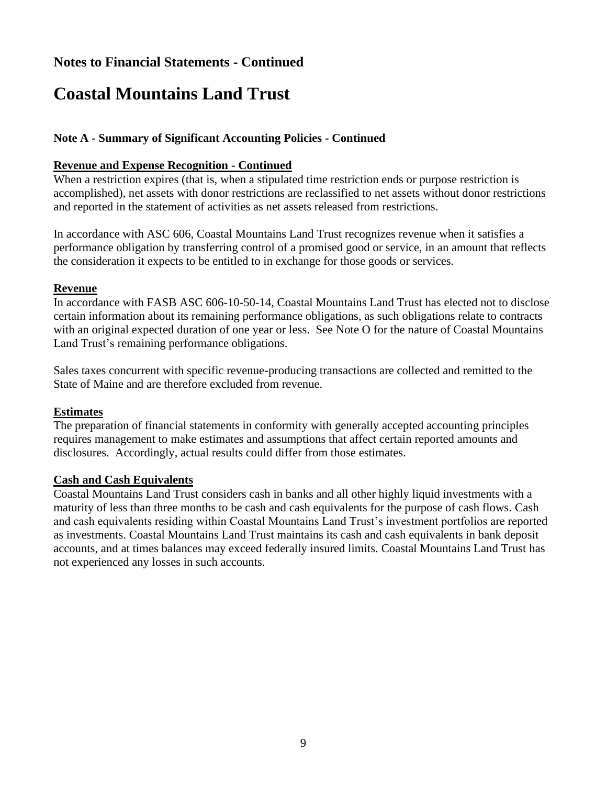## **Coastal Mountains Land Trust**

#### **Note A - Summary of Significant Accounting Policies - Continued**

#### **Revenue and Expense Recognition - Continued**

When a restriction expires (that is, when a stipulated time restriction ends or purpose restriction is accomplished), net assets with donor restrictions are reclassified to net assets without donor restrictions and reported in the statement of activities as net assets released from restrictions.

In accordance with ASC 606, Coastal Mountains Land Trust recognizes revenue when it satisfies a performance obligation by transferring control of a promised good or service, in an amount that reflects the consideration it expects to be entitled to in exchange for those goods or services.

#### **Revenue**

In accordance with FASB ASC 606-10-50-14, Coastal Mountains Land Trust has elected not to disclose certain information about its remaining performance obligations, as such obligations relate to contracts with an original expected duration of one year or less. See Note O for the nature of Coastal Mountains Land Trust's remaining performance obligations.

Sales taxes concurrent with specific revenue-producing transactions are collected and remitted to the State of Maine and are therefore excluded from revenue.

#### **Estimates**

The preparation of financial statements in conformity with generally accepted accounting principles requires management to make estimates and assumptions that affect certain reported amounts and disclosures. Accordingly, actual results could differ from those estimates.

#### **Cash and Cash Equivalents**

Coastal Mountains Land Trust considers cash in banks and all other highly liquid investments with a maturity of less than three months to be cash and cash equivalents for the purpose of cash flows. Cash and cash equivalents residing within Coastal Mountains Land Trust's investment portfolios are reported as investments. Coastal Mountains Land Trust maintains its cash and cash equivalents in bank deposit accounts, and at times balances may exceed federally insured limits. Coastal Mountains Land Trust has not experienced any losses in such accounts.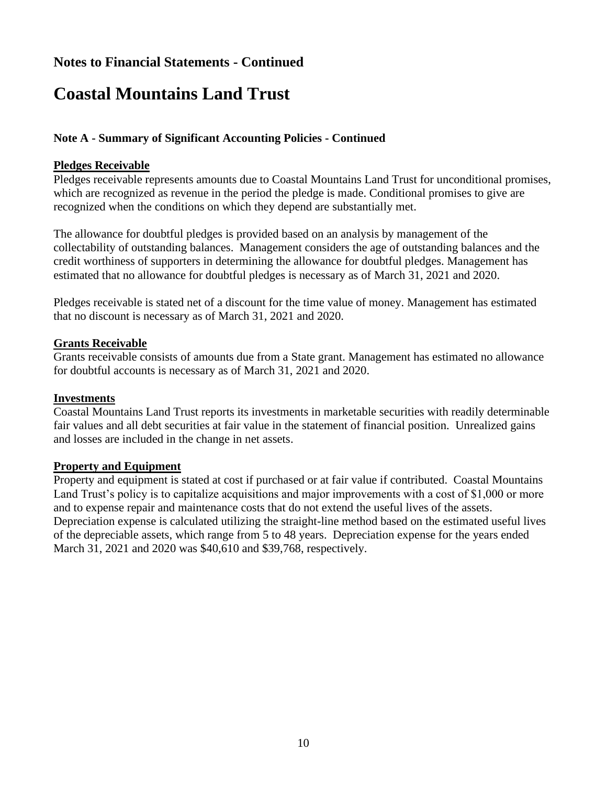## **Coastal Mountains Land Trust**

#### **Note A - Summary of Significant Accounting Policies - Continued**

#### **Pledges Receivable**

Pledges receivable represents amounts due to Coastal Mountains Land Trust for unconditional promises, which are recognized as revenue in the period the pledge is made. Conditional promises to give are recognized when the conditions on which they depend are substantially met.

The allowance for doubtful pledges is provided based on an analysis by management of the collectability of outstanding balances. Management considers the age of outstanding balances and the credit worthiness of supporters in determining the allowance for doubtful pledges. Management has estimated that no allowance for doubtful pledges is necessary as of March 31, 2021 and 2020.

Pledges receivable is stated net of a discount for the time value of money. Management has estimated that no discount is necessary as of March 31, 2021 and 2020.

#### **Grants Receivable**

Grants receivable consists of amounts due from a State grant. Management has estimated no allowance for doubtful accounts is necessary as of March 31, 2021 and 2020.

#### **Investments**

Coastal Mountains Land Trust reports its investments in marketable securities with readily determinable fair values and all debt securities at fair value in the statement of financial position. Unrealized gains and losses are included in the change in net assets.

#### **Property and Equipment**

Property and equipment is stated at cost if purchased or at fair value if contributed. Coastal Mountains Land Trust's policy is to capitalize acquisitions and major improvements with a cost of \$1,000 or more and to expense repair and maintenance costs that do not extend the useful lives of the assets. Depreciation expense is calculated utilizing the straight-line method based on the estimated useful lives of the depreciable assets, which range from 5 to 48 years. Depreciation expense for the years ended March 31, 2021 and 2020 was \$40,610 and \$39,768, respectively.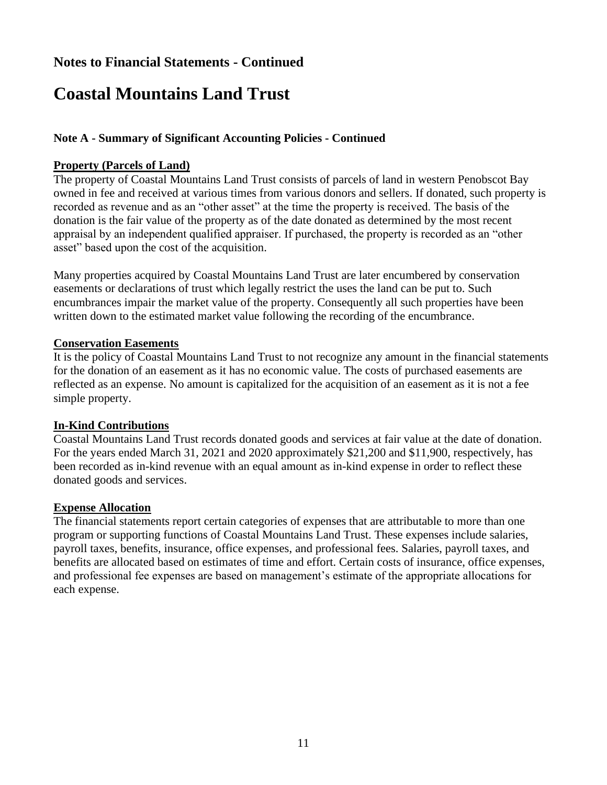## **Coastal Mountains Land Trust**

#### **Note A - Summary of Significant Accounting Policies - Continued**

#### **Property (Parcels of Land)**

The property of Coastal Mountains Land Trust consists of parcels of land in western Penobscot Bay owned in fee and received at various times from various donors and sellers. If donated, such property is recorded as revenue and as an "other asset" at the time the property is received. The basis of the donation is the fair value of the property as of the date donated as determined by the most recent appraisal by an independent qualified appraiser. If purchased, the property is recorded as an "other asset" based upon the cost of the acquisition.

Many properties acquired by Coastal Mountains Land Trust are later encumbered by conservation easements or declarations of trust which legally restrict the uses the land can be put to. Such encumbrances impair the market value of the property. Consequently all such properties have been written down to the estimated market value following the recording of the encumbrance.

#### **Conservation Easements**

It is the policy of Coastal Mountains Land Trust to not recognize any amount in the financial statements for the donation of an easement as it has no economic value. The costs of purchased easements are reflected as an expense. No amount is capitalized for the acquisition of an easement as it is not a fee simple property.

#### **In-Kind Contributions**

Coastal Mountains Land Trust records donated goods and services at fair value at the date of donation. For the years ended March 31, 2021 and 2020 approximately \$21,200 and \$11,900, respectively, has been recorded as in-kind revenue with an equal amount as in-kind expense in order to reflect these donated goods and services.

#### **Expense Allocation**

The financial statements report certain categories of expenses that are attributable to more than one program or supporting functions of Coastal Mountains Land Trust. These expenses include salaries, payroll taxes, benefits, insurance, office expenses, and professional fees. Salaries, payroll taxes, and benefits are allocated based on estimates of time and effort. Certain costs of insurance, office expenses, and professional fee expenses are based on management's estimate of the appropriate allocations for each expense.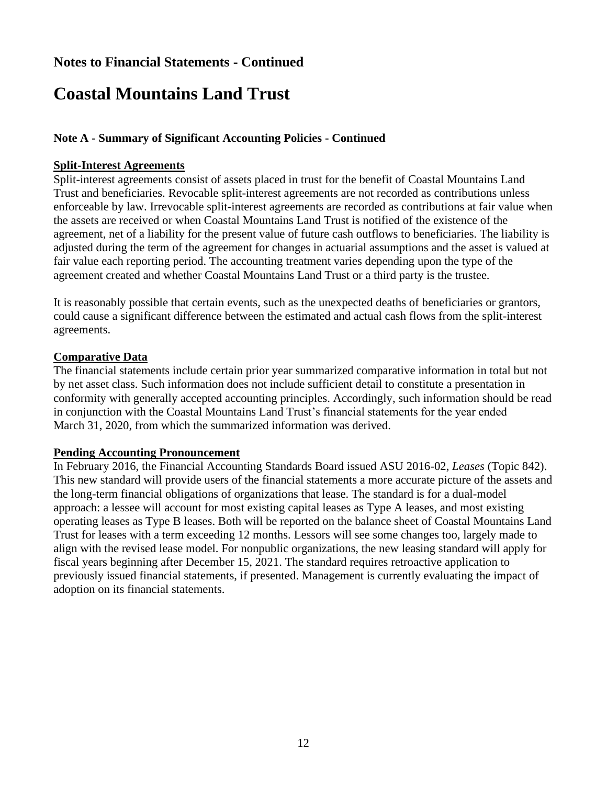## **Coastal Mountains Land Trust**

#### **Note A - Summary of Significant Accounting Policies - Continued**

#### **Split-Interest Agreements**

Split-interest agreements consist of assets placed in trust for the benefit of Coastal Mountains Land Trust and beneficiaries. Revocable split-interest agreements are not recorded as contributions unless enforceable by law. Irrevocable split-interest agreements are recorded as contributions at fair value when the assets are received or when Coastal Mountains Land Trust is notified of the existence of the agreement, net of a liability for the present value of future cash outflows to beneficiaries. The liability is adjusted during the term of the agreement for changes in actuarial assumptions and the asset is valued at fair value each reporting period. The accounting treatment varies depending upon the type of the agreement created and whether Coastal Mountains Land Trust or a third party is the trustee.

It is reasonably possible that certain events, such as the unexpected deaths of beneficiaries or grantors, could cause a significant difference between the estimated and actual cash flows from the split-interest agreements.

#### **Comparative Data**

The financial statements include certain prior year summarized comparative information in total but not by net asset class. Such information does not include sufficient detail to constitute a presentation in conformity with generally accepted accounting principles. Accordingly, such information should be read in conjunction with the Coastal Mountains Land Trust's financial statements for the year ended March 31, 2020, from which the summarized information was derived.

#### **Pending Accounting Pronouncement**

In February 2016, the Financial Accounting Standards Board issued ASU 2016-02, *Leases* (Topic 842). This new standard will provide users of the financial statements a more accurate picture of the assets and the long-term financial obligations of organizations that lease. The standard is for a dual-model approach: a lessee will account for most existing capital leases as Type A leases, and most existing operating leases as Type B leases. Both will be reported on the balance sheet of Coastal Mountains Land Trust for leases with a term exceeding 12 months. Lessors will see some changes too, largely made to align with the revised lease model. For nonpublic organizations, the new leasing standard will apply for fiscal years beginning after December 15, 2021. The standard requires retroactive application to previously issued financial statements, if presented. Management is currently evaluating the impact of adoption on its financial statements.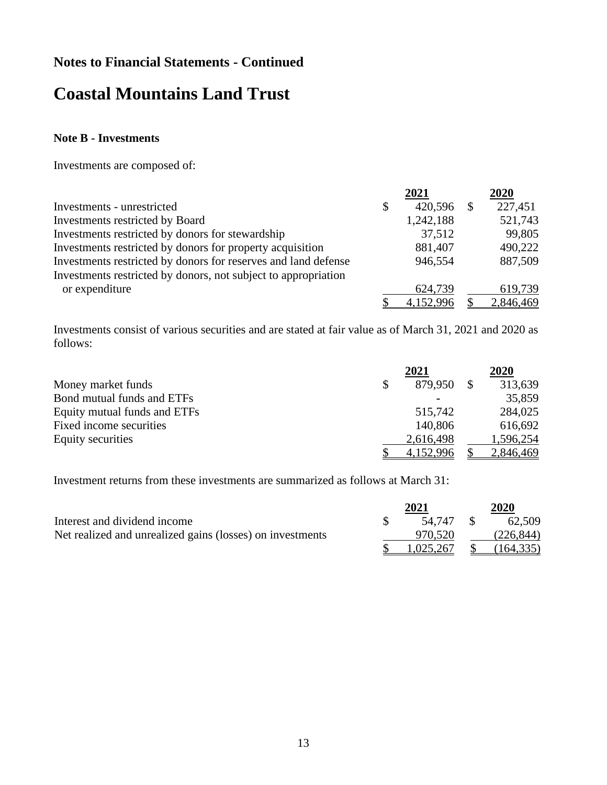## **Coastal Mountains Land Trust**

### **Note B - Investments**

Investments are composed of:

|                                                                | 2021      | 2020          |
|----------------------------------------------------------------|-----------|---------------|
| Investments - unrestricted                                     | 420,596   | \$<br>227,451 |
| Investments restricted by Board                                | 1,242,188 | 521,743       |
| Investments restricted by donors for stewardship               | 37,512    | 99,805        |
| Investments restricted by donors for property acquisition      | 881,407   | 490,222       |
| Investments restricted by donors for reserves and land defense | 946,554   | 887,509       |
| Investments restricted by donors, not subject to appropriation |           |               |
| or expenditure                                                 | 624,739   | 619,739       |
|                                                                | 4,152,996 | 2,846,469     |

Investments consist of various securities and are stated at fair value as of March 31, 2021 and 2020 as follows:

|                              | 2021             |               | 2020      |
|------------------------------|------------------|---------------|-----------|
| Money market funds           | 879,950          | $\mathcal{S}$ | 313,639   |
| Bond mutual funds and ETFs   |                  |               | 35,859    |
| Equity mutual funds and ETFs | 515,742          |               | 284,025   |
| Fixed income securities      | 140,806          |               | 616,692   |
| Equity securities            | 2,616,498        |               | 1,596,254 |
|                              | <u>4,152,996</u> |               | 2,846,469 |

Investment returns from these investments are summarized as follows at March 31:

|                                                           | 2021      | 2020       |
|-----------------------------------------------------------|-----------|------------|
| Interest and dividend income                              | 54.747 \$ | 62,509     |
| Net realized and unrealized gains (losses) on investments | 970.520   | (226, 844) |
|                                                           | 1,025,267 | (164, 335) |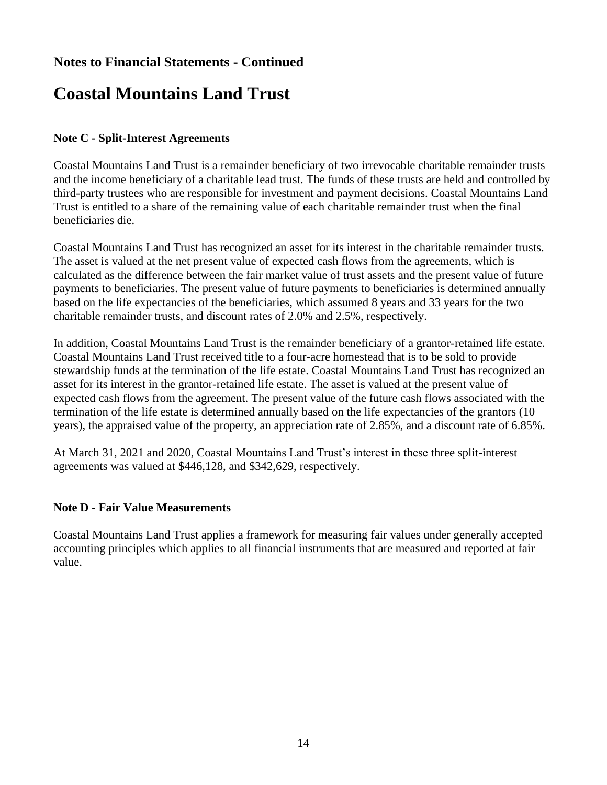## **Coastal Mountains Land Trust**

#### **Note C - Split-Interest Agreements**

Coastal Mountains Land Trust is a remainder beneficiary of two irrevocable charitable remainder trusts and the income beneficiary of a charitable lead trust. The funds of these trusts are held and controlled by third-party trustees who are responsible for investment and payment decisions. Coastal Mountains Land Trust is entitled to a share of the remaining value of each charitable remainder trust when the final beneficiaries die.

Coastal Mountains Land Trust has recognized an asset for its interest in the charitable remainder trusts. The asset is valued at the net present value of expected cash flows from the agreements, which is calculated as the difference between the fair market value of trust assets and the present value of future payments to beneficiaries. The present value of future payments to beneficiaries is determined annually based on the life expectancies of the beneficiaries, which assumed 8 years and 33 years for the two charitable remainder trusts, and discount rates of 2.0% and 2.5%, respectively.

In addition, Coastal Mountains Land Trust is the remainder beneficiary of a grantor-retained life estate. Coastal Mountains Land Trust received title to a four-acre homestead that is to be sold to provide stewardship funds at the termination of the life estate. Coastal Mountains Land Trust has recognized an asset for its interest in the grantor-retained life estate. The asset is valued at the present value of expected cash flows from the agreement. The present value of the future cash flows associated with the termination of the life estate is determined annually based on the life expectancies of the grantors (10 years), the appraised value of the property, an appreciation rate of 2.85%, and a discount rate of 6.85%.

At March 31, 2021 and 2020, Coastal Mountains Land Trust's interest in these three split-interest agreements was valued at \$446,128, and \$342,629, respectively.

#### **Note D - Fair Value Measurements**

Coastal Mountains Land Trust applies a framework for measuring fair values under generally accepted accounting principles which applies to all financial instruments that are measured and reported at fair value.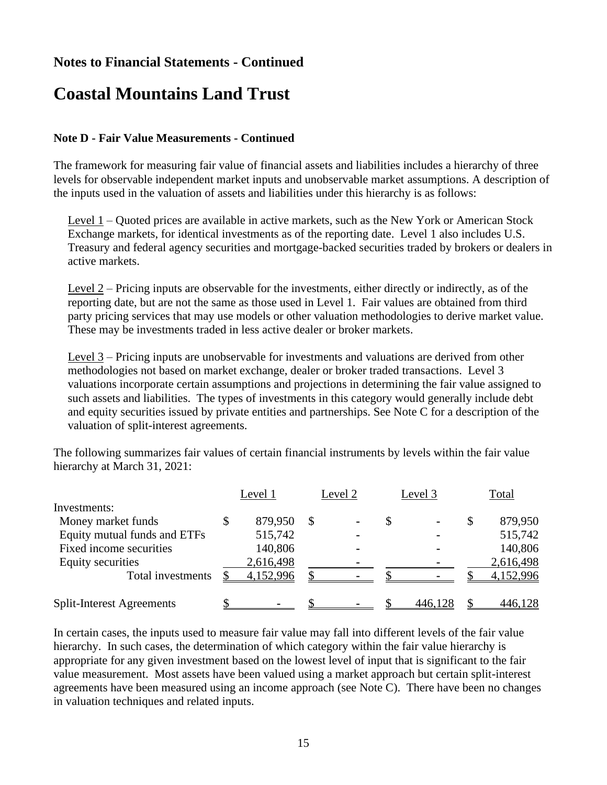## **Coastal Mountains Land Trust**

#### **Note D - Fair Value Measurements - Continued**

The framework for measuring fair value of financial assets and liabilities includes a hierarchy of three levels for observable independent market inputs and unobservable market assumptions. A description of the inputs used in the valuation of assets and liabilities under this hierarchy is as follows:

Level 1 – Quoted prices are available in active markets, such as the New York or American Stock Exchange markets, for identical investments as of the reporting date. Level 1 also includes U.S. Treasury and federal agency securities and mortgage-backed securities traded by brokers or dealers in active markets.

Level 2 – Pricing inputs are observable for the investments, either directly or indirectly, as of the reporting date, but are not the same as those used in Level 1. Fair values are obtained from third party pricing services that may use models or other valuation methodologies to derive market value. These may be investments traded in less active dealer or broker markets.

Level 3 – Pricing inputs are unobservable for investments and valuations are derived from other methodologies not based on market exchange, dealer or broker traded transactions. Level 3 valuations incorporate certain assumptions and projections in determining the fair value assigned to such assets and liabilities. The types of investments in this category would generally include debt and equity securities issued by private entities and partnerships. See Note C for a description of the valuation of split-interest agreements.

The following summarizes fair values of certain financial instruments by levels within the fair value hierarchy at March 31, 2021:

|                                  | Level 1       | Level 2        | Level 3 |   | Total     |
|----------------------------------|---------------|----------------|---------|---|-----------|
| Investments:                     |               |                |         |   |           |
| Money market funds               | \$<br>879,950 |                |         | S | 879,950   |
| Equity mutual funds and ETFs     | 515,742       | $\blacksquare$ |         |   | 515,742   |
| Fixed income securities          | 140,806       | $\blacksquare$ |         |   | 140,806   |
| Equity securities                | 2,616,498     |                |         |   | 2,616,498 |
| Total investments                | 4,152,996     |                |         |   | 4,152,996 |
| <b>Split-Interest Agreements</b> |               |                | 446,128 |   | 446,128   |

In certain cases, the inputs used to measure fair value may fall into different levels of the fair value hierarchy. In such cases, the determination of which category within the fair value hierarchy is appropriate for any given investment based on the lowest level of input that is significant to the fair value measurement. Most assets have been valued using a market approach but certain split-interest agreements have been measured using an income approach (see Note C). There have been no changes in valuation techniques and related inputs.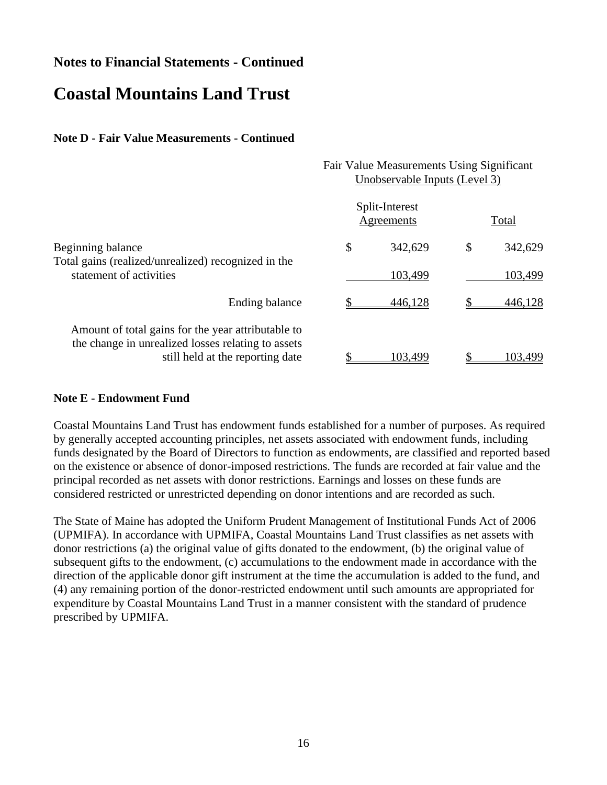## **Coastal Mountains Land Trust**

#### **Note D - Fair Value Measurements - Continued**

|                                                                                                          | Fair Value Measurements Using Significant<br>Unobservable Inputs (Level 3) |    |         |  |  |  |  |
|----------------------------------------------------------------------------------------------------------|----------------------------------------------------------------------------|----|---------|--|--|--|--|
|                                                                                                          | Split-Interest<br>Agreements                                               |    | Total   |  |  |  |  |
| Beginning balance                                                                                        | \$<br>342,629                                                              | \$ | 342,629 |  |  |  |  |
| Total gains (realized/unrealized) recognized in the<br>statement of activities                           | 103,499                                                                    |    | 103,499 |  |  |  |  |
| Ending balance                                                                                           | 446,128                                                                    |    | 446,128 |  |  |  |  |
| Amount of total gains for the year attributable to<br>the change in unrealized losses relating to assets |                                                                            |    |         |  |  |  |  |
| still held at the reporting date                                                                         | 103,499                                                                    |    | 103,499 |  |  |  |  |

#### **Note E - Endowment Fund**

Coastal Mountains Land Trust has endowment funds established for a number of purposes. As required by generally accepted accounting principles, net assets associated with endowment funds, including funds designated by the Board of Directors to function as endowments, are classified and reported based on the existence or absence of donor-imposed restrictions. The funds are recorded at fair value and the principal recorded as net assets with donor restrictions. Earnings and losses on these funds are considered restricted or unrestricted depending on donor intentions and are recorded as such.

The State of Maine has adopted the Uniform Prudent Management of Institutional Funds Act of 2006 (UPMIFA). In accordance with UPMIFA, Coastal Mountains Land Trust classifies as net assets with donor restrictions (a) the original value of gifts donated to the endowment, (b) the original value of subsequent gifts to the endowment, (c) accumulations to the endowment made in accordance with the direction of the applicable donor gift instrument at the time the accumulation is added to the fund, and (4) any remaining portion of the donor-restricted endowment until such amounts are appropriated for expenditure by Coastal Mountains Land Trust in a manner consistent with the standard of prudence prescribed by UPMIFA.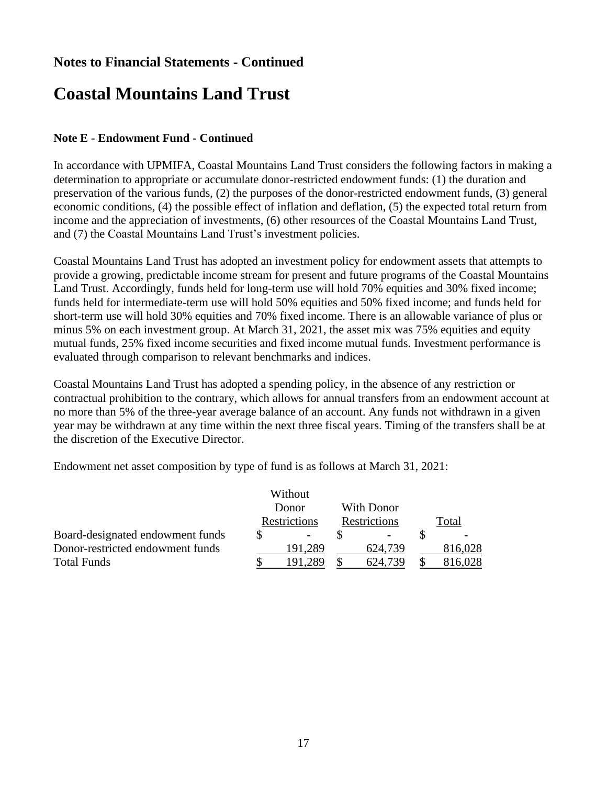## **Coastal Mountains Land Trust**

#### **Note E - Endowment Fund - Continued**

In accordance with UPMIFA, Coastal Mountains Land Trust considers the following factors in making a determination to appropriate or accumulate donor-restricted endowment funds: (1) the duration and preservation of the various funds, (2) the purposes of the donor-restricted endowment funds, (3) general economic conditions, (4) the possible effect of inflation and deflation, (5) the expected total return from income and the appreciation of investments, (6) other resources of the Coastal Mountains Land Trust, and (7) the Coastal Mountains Land Trust's investment policies.

Coastal Mountains Land Trust has adopted an investment policy for endowment assets that attempts to provide a growing, predictable income stream for present and future programs of the Coastal Mountains Land Trust. Accordingly, funds held for long-term use will hold 70% equities and 30% fixed income; funds held for intermediate-term use will hold 50% equities and 50% fixed income; and funds held for short-term use will hold 30% equities and 70% fixed income. There is an allowable variance of plus or minus 5% on each investment group. At March 31, 2021, the asset mix was 75% equities and equity mutual funds, 25% fixed income securities and fixed income mutual funds. Investment performance is evaluated through comparison to relevant benchmarks and indices.

Coastal Mountains Land Trust has adopted a spending policy, in the absence of any restriction or contractual prohibition to the contrary, which allows for annual transfers from an endowment account at no more than 5% of the three-year average balance of an account. Any funds not withdrawn in a given year may be withdrawn at any time within the next three fiscal years. Timing of the transfers shall be at the discretion of the Executive Director.

Endowment net asset composition by type of fund is as follows at March 31, 2021:

|                                  |              | Without        |                |         |
|----------------------------------|--------------|----------------|----------------|---------|
|                                  | Donor        |                | With Donor     |         |
|                                  | Restrictions |                | Restrictions   | Total   |
| Board-designated endowment funds |              | $\blacksquare$ | $\blacksquare$ |         |
| Donor-restricted endowment funds |              | 191.289        | 624,739        | 816,028 |
| <b>Total Funds</b>               |              |                | 624.739        | 16.028  |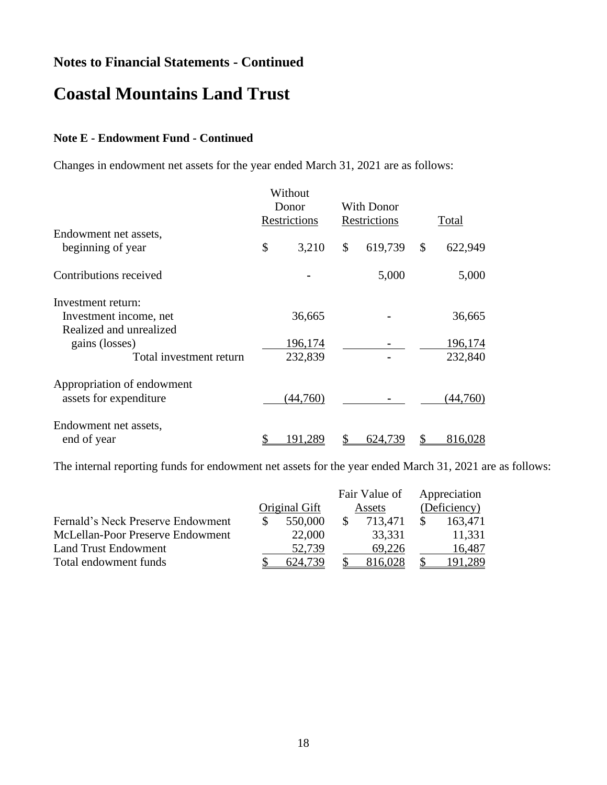## **Coastal Mountains Land Trust**

#### **Note E - Endowment Fund - Continued**

Changes in endowment net assets for the year ended March 31, 2021 are as follows:

|                                                   |                       | Without  |                   |               |          |
|---------------------------------------------------|-----------------------|----------|-------------------|---------------|----------|
|                                                   | Donor<br>Restrictions |          | <b>With Donor</b> |               |          |
|                                                   |                       |          | Restrictions      |               | Total    |
| Endowment net assets,                             |                       |          |                   |               |          |
| beginning of year                                 | \$                    | 3,210    | \$<br>619,739     | $\mathcal{S}$ | 622,949  |
| Contributions received                            |                       |          | 5,000             |               | 5,000    |
| Investment return:                                |                       |          |                   |               |          |
| Investment income, net<br>Realized and unrealized |                       | 36,665   |                   |               | 36,665   |
| gains (losses)                                    |                       | 196,174  |                   |               | 196,174  |
| Total investment return                           |                       | 232,839  |                   |               | 232,840  |
| Appropriation of endowment                        |                       |          |                   |               |          |
| assets for expenditure                            |                       | (44,760) |                   |               | (44,760) |
| Endowment net assets,                             |                       |          |                   |               |          |
| end of year                                       |                       | 191,289  | 624,739           |               | 816,028  |

The internal reporting funds for endowment net assets for the year ended March 31, 2021 are as follows:

|                                   |               | Fair Value of |         | Appreciation |
|-----------------------------------|---------------|---------------|---------|--------------|
|                                   | Original Gift | Assets        |         | (Deficiency) |
| Fernald's Neck Preserve Endowment | 550,000       |               | 713.471 | 163,471      |
| McLellan-Poor Preserve Endowment  | 22,000        |               | 33,331  | 11,331       |
| <b>Land Trust Endowment</b>       | 52,739        |               | 69,226  | 16,487       |
| Total endowment funds             | 624.739       |               | 816.028 | .289         |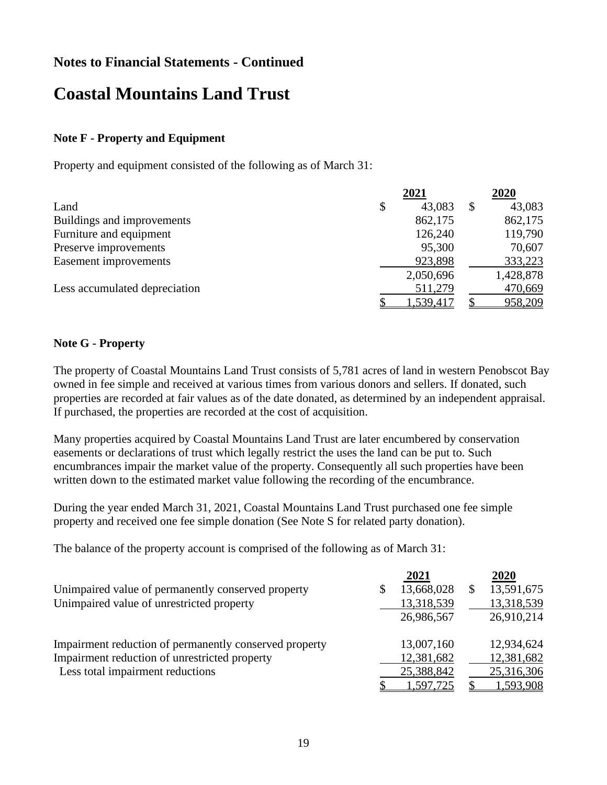## **Coastal Mountains Land Trust**

#### **Note F - Property and Equipment**

Property and equipment consisted of the following as of March 31:

|                               | 2021 |           | 2020         |
|-------------------------------|------|-----------|--------------|
| Land                          | \$   | 43,083    | 43,083<br>\$ |
| Buildings and improvements    |      | 862,175   | 862,175      |
| Furniture and equipment       |      | 126,240   | 119,790      |
| Preserve improvements         |      | 95,300    | 70,607       |
| <b>Easement</b> improvements  |      | 923,898   | 333,223      |
|                               |      | 2,050,696 | 1,428,878    |
| Less accumulated depreciation |      | 511,279   | 470,669      |
|                               |      | 1,539,417 | 958,209      |

#### **Note G - Property**

The property of Coastal Mountains Land Trust consists of 5,781 acres of land in western Penobscot Bay owned in fee simple and received at various times from various donors and sellers. If donated, such properties are recorded at fair values as of the date donated, as determined by an independent appraisal. If purchased, the properties are recorded at the cost of acquisition.

Many properties acquired by Coastal Mountains Land Trust are later encumbered by conservation easements or declarations of trust which legally restrict the uses the land can be put to. Such encumbrances impair the market value of the property. Consequently all such properties have been written down to the estimated market value following the recording of the encumbrance.

During the year ended March 31, 2021, Coastal Mountains Land Trust purchased one fee simple property and received one fee simple donation (See Note S for related party donation).

The balance of the property account is comprised of the following as of March 31:

|                                                        | 2021             | 2020       |
|--------------------------------------------------------|------------------|------------|
| Unimpaired value of permanently conserved property     | \$<br>13,668,028 | 13,591,675 |
| Unimpaired value of unrestricted property              | 13,318,539       | 13,318,539 |
|                                                        | 26,986,567       | 26,910,214 |
| Impairment reduction of permanently conserved property | 13,007,160       | 12,934,624 |
| Impairment reduction of unrestricted property          | 12,381,682       | 12,381,682 |
| Less total impairment reductions                       | 25,388,842       | 25,316,306 |
|                                                        | 1,597,725        | 1,593,908  |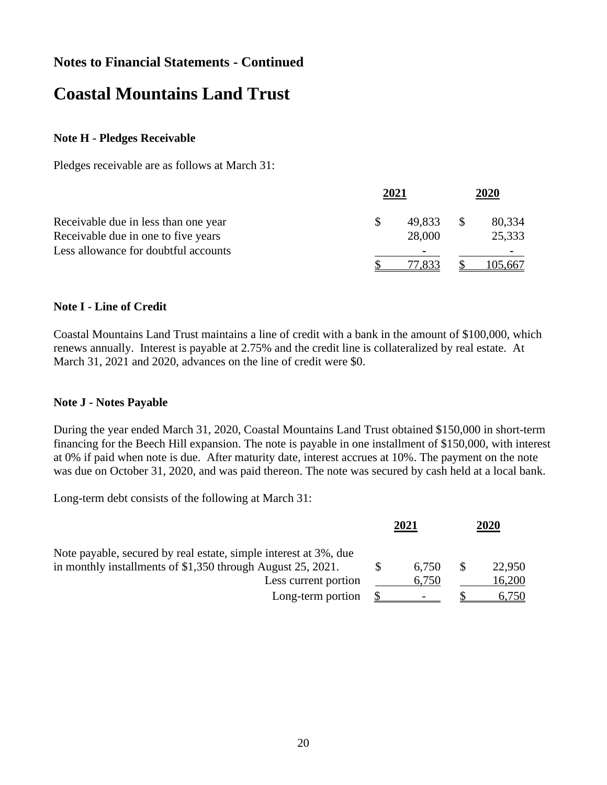## **Coastal Mountains Land Trust**

#### **Note H - Pledges Receivable**

Pledges receivable are as follows at March 31:

|                                      | 2021           |  |                |
|--------------------------------------|----------------|--|----------------|
| Receivable due in less than one year | 49.833         |  | 80,334         |
| Receivable due in one to five years  | 28,000         |  | 25,333         |
| Less allowance for doubtful accounts | $\blacksquare$ |  | $\blacksquare$ |
|                                      | 77.833         |  | 105,667        |

#### **Note I - Line of Credit**

Coastal Mountains Land Trust maintains a line of credit with a bank in the amount of \$100,000, which renews annually. Interest is payable at 2.75% and the credit line is collateralized by real estate. At March 31, 2021 and 2020, advances on the line of credit were \$0.

#### **Note J - Notes Payable**

During the year ended March 31, 2020, Coastal Mountains Land Trust obtained \$150,000 in short-term financing for the Beech Hill expansion. The note is payable in one installment of \$150,000, with interest at 0% if paid when note is due. After maturity date, interest accrues at 10%. The payment on the note was due on October 31, 2020, and was paid thereon. The note was secured by cash held at a local bank.

Long-term debt consists of the following at March 31:

|                                                                  |  | 2021  | <b>2020</b> |        |
|------------------------------------------------------------------|--|-------|-------------|--------|
| Note payable, secured by real estate, simple interest at 3%, due |  |       |             |        |
| in monthly installments of \$1,350 through August 25, 2021.      |  | 6.750 |             | 22,950 |
| Less current portion                                             |  | 6,750 |             | 16,200 |
| Long-term portion                                                |  |       |             | 6.750  |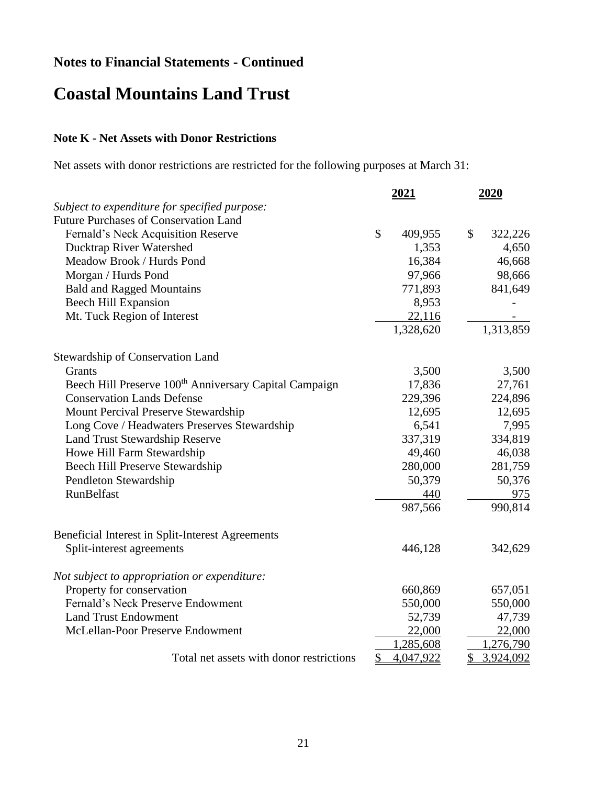## **Coastal Mountains Land Trust**

### **Note K - Net Assets with Donor Restrictions**

Net assets with donor restrictions are restricted for the following purposes at March 31:

|                                                                    |               | 2021      | 2020            |
|--------------------------------------------------------------------|---------------|-----------|-----------------|
| Subject to expenditure for specified purpose:                      |               |           |                 |
| <b>Future Purchases of Conservation Land</b>                       |               |           |                 |
| Fernald's Neck Acquisition Reserve                                 | $\mathcal{S}$ | 409,955   | \$<br>322,226   |
| Ducktrap River Watershed                                           |               | 1,353     | 4,650           |
| Meadow Brook / Hurds Pond                                          |               | 16,384    | 46,668          |
| Morgan / Hurds Pond                                                |               | 97,966    | 98,666          |
| <b>Bald and Ragged Mountains</b>                                   |               | 771,893   | 841,649         |
| <b>Beech Hill Expansion</b>                                        |               | 8,953     |                 |
| Mt. Tuck Region of Interest                                        |               | 22,116    |                 |
|                                                                    |               | 1,328,620 | 1,313,859       |
| Stewardship of Conservation Land                                   |               |           |                 |
| Grants                                                             |               | 3,500     | 3,500           |
| Beech Hill Preserve 100 <sup>th</sup> Anniversary Capital Campaign |               | 17,836    | 27,761          |
| <b>Conservation Lands Defense</b>                                  |               | 229,396   | 224,896         |
| Mount Percival Preserve Stewardship                                |               | 12,695    | 12,695          |
| Long Cove / Headwaters Preserves Stewardship                       |               | 6,541     | 7,995           |
| Land Trust Stewardship Reserve                                     |               | 337,319   | 334,819         |
| Howe Hill Farm Stewardship                                         |               | 49,460    | 46,038          |
| Beech Hill Preserve Stewardship                                    |               | 280,000   | 281,759         |
| Pendleton Stewardship                                              |               | 50,379    | 50,376          |
| RunBelfast                                                         |               | 440       | 975             |
|                                                                    |               | 987,566   | 990,814         |
| Beneficial Interest in Split-Interest Agreements                   |               |           |                 |
| Split-interest agreements                                          |               | 446,128   | 342,629         |
| Not subject to appropriation or expenditure:                       |               |           |                 |
| Property for conservation                                          |               | 660,869   | 657,051         |
| Fernald's Neck Preserve Endowment                                  |               | 550,000   | 550,000         |
| <b>Land Trust Endowment</b>                                        |               | 52,739    | 47,739          |
| McLellan-Poor Preserve Endowment                                   |               | 22,000    | 22,000          |
|                                                                    |               | 1,285,608 | 1,276,790       |
| Total net assets with donor restrictions                           | \$            | 4,047,922 | \$<br>3,924,092 |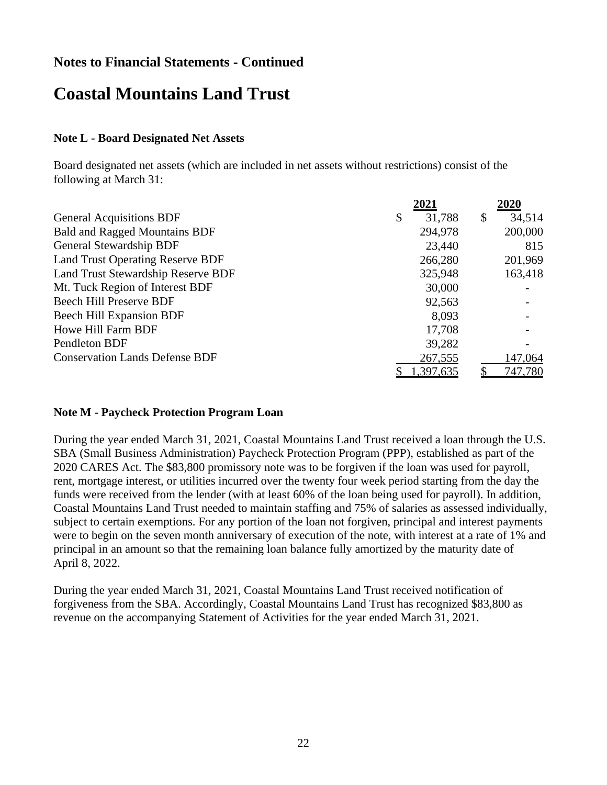## **Coastal Mountains Land Trust**

#### **Note L - Board Designated Net Assets**

Board designated net assets (which are included in net assets without restrictions) consist of the following at March 31:

|                                         | 2021         | 2020 |         |
|-----------------------------------------|--------------|------|---------|
| <b>General Acquisitions BDF</b>         | \$<br>31,788 | \$   | 34,514  |
| <b>Bald and Ragged Mountains BDF</b>    | 294,978      |      | 200,000 |
| General Stewardship BDF                 | 23,440       |      | 815     |
| <b>Land Trust Operating Reserve BDF</b> | 266,280      |      | 201,969 |
| Land Trust Stewardship Reserve BDF      | 325,948      |      | 163,418 |
| Mt. Tuck Region of Interest BDF         | 30,000       |      |         |
| <b>Beech Hill Preserve BDF</b>          | 92,563       |      |         |
| Beech Hill Expansion BDF                | 8,093        |      |         |
| Howe Hill Farm BDF                      | 17,708       |      |         |
| Pendleton BDF                           | 39,282       |      |         |
| <b>Conservation Lands Defense BDF</b>   | 267,555      |      | 147,064 |
|                                         | 1,397,635    |      | 747,780 |

#### **Note M - Paycheck Protection Program Loan**

During the year ended March 31, 2021, Coastal Mountains Land Trust received a loan through the U.S. SBA (Small Business Administration) Paycheck Protection Program (PPP), established as part of the 2020 CARES Act. The \$83,800 promissory note was to be forgiven if the loan was used for payroll, rent, mortgage interest, or utilities incurred over the twenty four week period starting from the day the funds were received from the lender (with at least 60% of the loan being used for payroll). In addition, Coastal Mountains Land Trust needed to maintain staffing and 75% of salaries as assessed individually, subject to certain exemptions. For any portion of the loan not forgiven, principal and interest payments were to begin on the seven month anniversary of execution of the note, with interest at a rate of 1% and principal in an amount so that the remaining loan balance fully amortized by the maturity date of April 8, 2022.

During the year ended March 31, 2021, Coastal Mountains Land Trust received notification of forgiveness from the SBA. Accordingly, Coastal Mountains Land Trust has recognized \$83,800 as revenue on the accompanying Statement of Activities for the year ended March 31, 2021.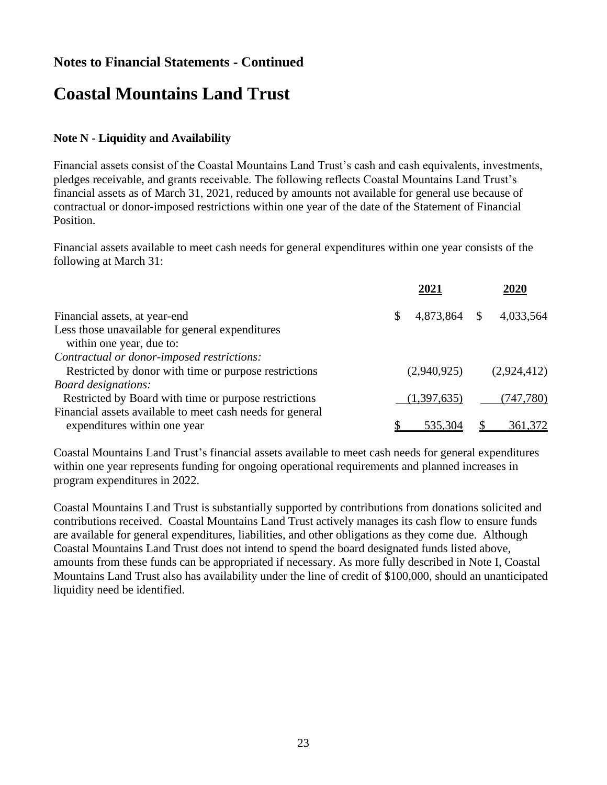## **Coastal Mountains Land Trust**

#### **Note N - Liquidity and Availability**

Financial assets consist of the Coastal Mountains Land Trust's cash and cash equivalents, investments, pledges receivable, and grants receivable. The following reflects Coastal Mountains Land Trust's financial assets as of March 31, 2021, reduced by amounts not available for general use because of contractual or donor-imposed restrictions within one year of the date of the Statement of Financial Position.

Financial assets available to meet cash needs for general expenditures within one year consists of the following at March 31:

|                                                           |   | 2021         | <b>2020</b>    |
|-----------------------------------------------------------|---|--------------|----------------|
| Financial assets, at year-end                             | S | 4,873,864 \$ | 4,033,564      |
| Less those unavailable for general expenditures           |   |              |                |
| within one year, due to:                                  |   |              |                |
| Contractual or donor-imposed restrictions:                |   |              |                |
| Restricted by donor with time or purpose restrictions     |   | (2,940,925)  | (2,924,412)    |
| <b>Board designations:</b>                                |   |              |                |
| Restricted by Board with time or purpose restrictions     |   | (1,397,635)  | (747, 780)     |
| Financial assets available to meet cash needs for general |   |              |                |
| expenditures within one year                              |   | 535,304      | <u>361,372</u> |
|                                                           |   |              |                |

Coastal Mountains Land Trust's financial assets available to meet cash needs for general expenditures within one year represents funding for ongoing operational requirements and planned increases in program expenditures in 2022.

Coastal Mountains Land Trust is substantially supported by contributions from donations solicited and contributions received. Coastal Mountains Land Trust actively manages its cash flow to ensure funds are available for general expenditures, liabilities, and other obligations as they come due. Although Coastal Mountains Land Trust does not intend to spend the board designated funds listed above, amounts from these funds can be appropriated if necessary. As more fully described in Note I, Coastal Mountains Land Trust also has availability under the line of credit of \$100,000, should an unanticipated liquidity need be identified.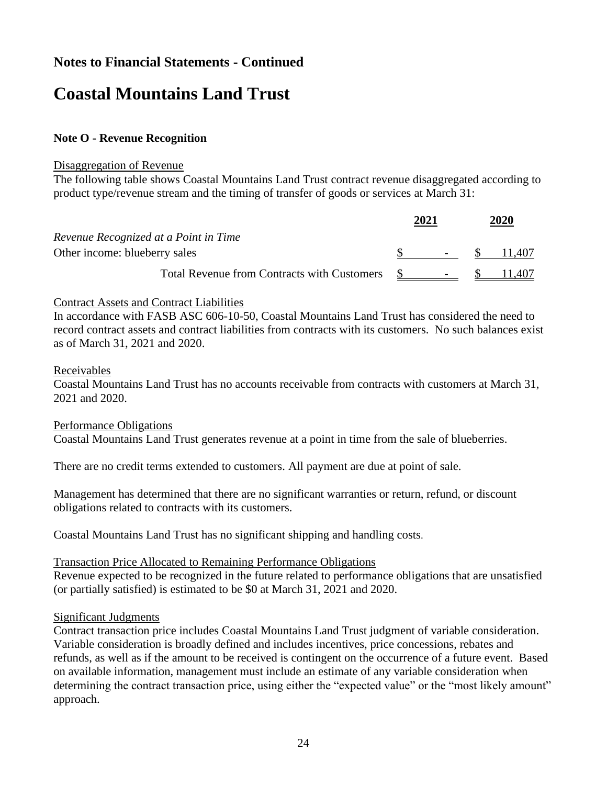## **Coastal Mountains Land Trust**

#### **Note O - Revenue Recognition**

Disaggregation of Revenue

The following table shows Coastal Mountains Land Trust contract revenue disaggregated according to product type/revenue stream and the timing of transfer of goods or services at March 31:

|                                                    | 2021                        | 2020 |        |  |
|----------------------------------------------------|-----------------------------|------|--------|--|
| Revenue Recognized at a Point in Time              |                             |      |        |  |
| Other income: blueberry sales                      | <b>Contract Contract</b>    |      | 1.407  |  |
| <b>Total Revenue from Contracts with Customers</b> | $\mathbb{S}$ - $\mathbb{S}$ |      | 11.407 |  |

#### Contract Assets and Contract Liabilities

In accordance with FASB ASC 606-10-50, Coastal Mountains Land Trust has considered the need to record contract assets and contract liabilities from contracts with its customers. No such balances exist as of March 31, 2021 and 2020.

#### Receivables

Coastal Mountains Land Trust has no accounts receivable from contracts with customers at March 31, 2021 and 2020.

#### Performance Obligations

Coastal Mountains Land Trust generates revenue at a point in time from the sale of blueberries.

There are no credit terms extended to customers. All payment are due at point of sale.

Management has determined that there are no significant warranties or return, refund, or discount obligations related to contracts with its customers.

Coastal Mountains Land Trust has no significant shipping and handling costs.

#### Transaction Price Allocated to Remaining Performance Obligations

Revenue expected to be recognized in the future related to performance obligations that are unsatisfied (or partially satisfied) is estimated to be \$0 at March 31, 2021 and 2020.

#### Significant Judgments

Contract transaction price includes Coastal Mountains Land Trust judgment of variable consideration. Variable consideration is broadly defined and includes incentives, price concessions, rebates and refunds, as well as if the amount to be received is contingent on the occurrence of a future event. Based on available information, management must include an estimate of any variable consideration when determining the contract transaction price, using either the "expected value" or the "most likely amount" approach.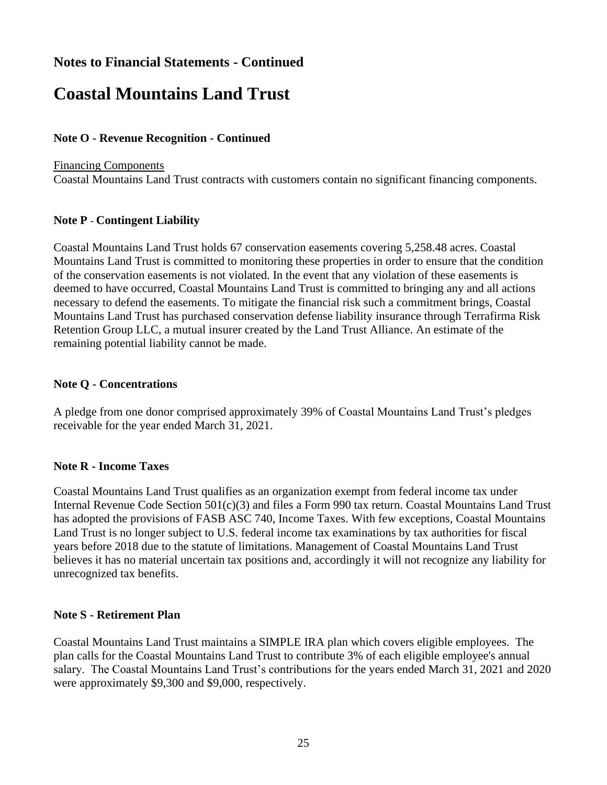## **Coastal Mountains Land Trust**

#### **Note O - Revenue Recognition - Continued**

Financing Components

Coastal Mountains Land Trust contracts with customers contain no significant financing components.

#### **Note P - Contingent Liability**

Coastal Mountains Land Trust holds 67 conservation easements covering 5,258.48 acres. Coastal Mountains Land Trust is committed to monitoring these properties in order to ensure that the condition of the conservation easements is not violated. In the event that any violation of these easements is deemed to have occurred, Coastal Mountains Land Trust is committed to bringing any and all actions necessary to defend the easements. To mitigate the financial risk such a commitment brings, Coastal Mountains Land Trust has purchased conservation defense liability insurance through Terrafirma Risk Retention Group LLC, a mutual insurer created by the Land Trust Alliance. An estimate of the remaining potential liability cannot be made.

#### **Note Q - Concentrations**

A pledge from one donor comprised approximately 39% of Coastal Mountains Land Trust's pledges receivable for the year ended March 31, 2021.

#### **Note R - Income Taxes**

Coastal Mountains Land Trust qualifies as an organization exempt from federal income tax under Internal Revenue Code Section 501(c)(3) and files a Form 990 tax return. Coastal Mountains Land Trust has adopted the provisions of FASB ASC 740, Income Taxes. With few exceptions, Coastal Mountains Land Trust is no longer subject to U.S. federal income tax examinations by tax authorities for fiscal years before 2018 due to the statute of limitations. Management of Coastal Mountains Land Trust believes it has no material uncertain tax positions and, accordingly it will not recognize any liability for unrecognized tax benefits.

#### **Note S - Retirement Plan**

Coastal Mountains Land Trust maintains a SIMPLE IRA plan which covers eligible employees. The plan calls for the Coastal Mountains Land Trust to contribute 3% of each eligible employee's annual salary. The Coastal Mountains Land Trust's contributions for the years ended March 31, 2021 and 2020 were approximately \$9,300 and \$9,000, respectively.